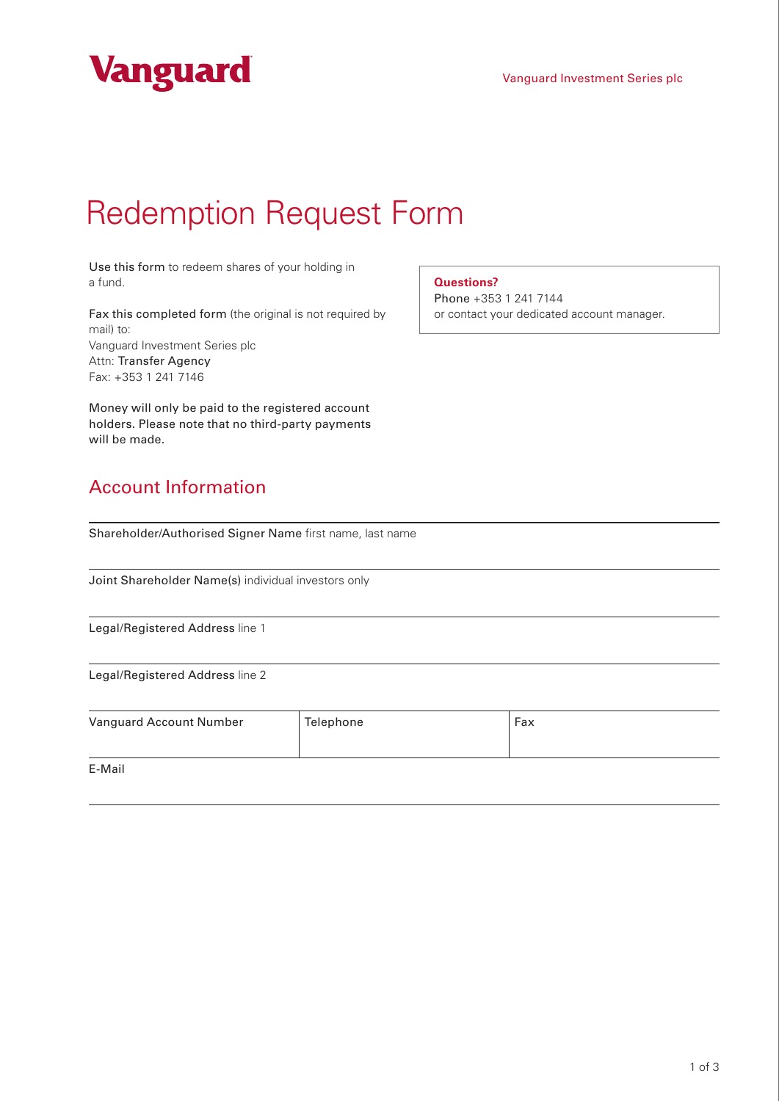



## Redemption Request Form

Use this form to redeem shares of your holding in a fund.

Fax this completed form (the original is not required by mail) to: Vanguard Investment Series plc Attn: Transfer Agency Fax: +353 1 241 7146

Money will only be paid to the registered account holders. Please note that no third-party payments will be made.

## Account Information

Shareholder/Authorised Signer Name first name, last name

Joint Shareholder Name(s) individual investors only

Legal/Registered Address line 1

Legal/Registered Address line 2

| Vanguard Account Number | Telephone | Fax |
|-------------------------|-----------|-----|
|                         |           |     |
| E-Mail                  |           |     |

**Questions?**

Phone +353 1 241 7144 or contact your dedicated account manager.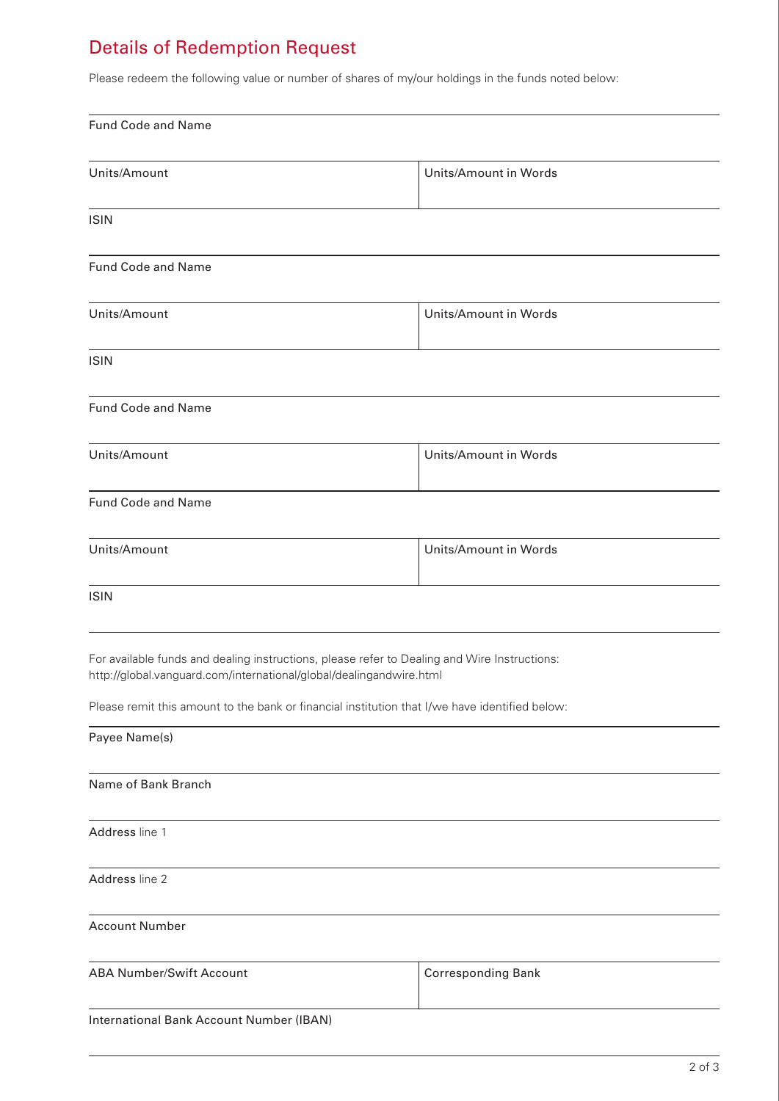## Details of Redemption Request

Please redeem the following value or number of shares of my/our holdings in the funds noted below:

| <b>Fund Code and Name</b>                                                                                                                                           |                           |
|---------------------------------------------------------------------------------------------------------------------------------------------------------------------|---------------------------|
| Units/Amount                                                                                                                                                        | Units/Amount in Words     |
| <b>ISIN</b>                                                                                                                                                         |                           |
| Fund Code and Name                                                                                                                                                  |                           |
| Units/Amount                                                                                                                                                        | Units/Amount in Words     |
| <b>ISIN</b>                                                                                                                                                         |                           |
| Fund Code and Name                                                                                                                                                  |                           |
| Units/Amount                                                                                                                                                        | Units/Amount in Words     |
| Fund Code and Name                                                                                                                                                  |                           |
| Units/Amount                                                                                                                                                        | Units/Amount in Words     |
| <b>ISIN</b>                                                                                                                                                         |                           |
| For available funds and dealing instructions, please refer to Dealing and Wire Instructions:<br>http://global.vanguard.com/international/global/dealingandwire.html |                           |
| Please remit this amount to the bank or financial institution that I/we have identified below:                                                                      |                           |
| Payee Name(s)                                                                                                                                                       |                           |
| Name of Bank Branch                                                                                                                                                 |                           |
| Address line 1                                                                                                                                                      |                           |
| Address line 2                                                                                                                                                      |                           |
| <b>Account Number</b>                                                                                                                                               |                           |
| <b>ABA Number/Swift Account</b>                                                                                                                                     | <b>Corresponding Bank</b> |
| International Bank Account Number (IBAN)                                                                                                                            |                           |